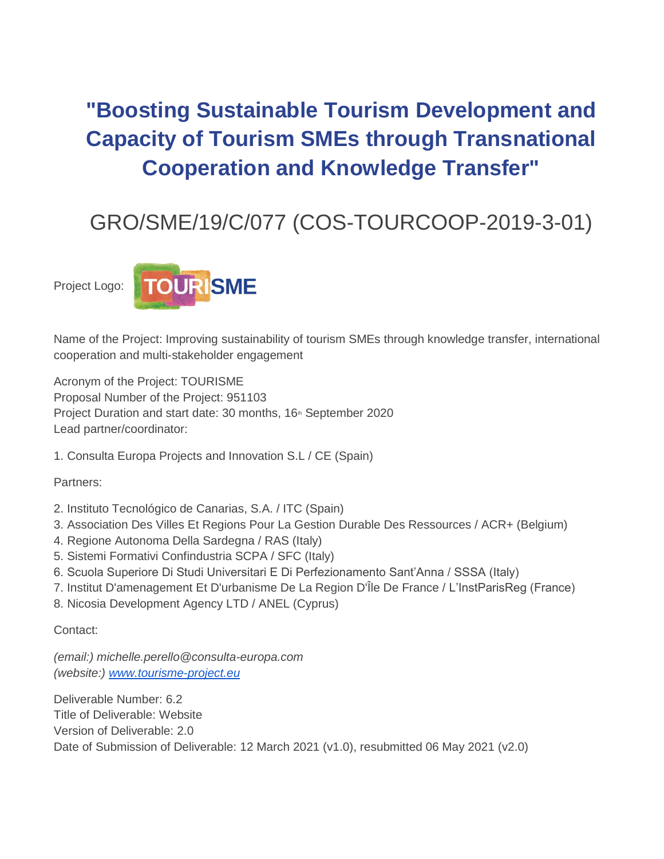## **"Boosting Sustainable Tourism Development and Capacity of Tourism SMEs through Transnational Cooperation and Knowledge Transfer"**

## GRO/SME/19/C/077 (COS-TOURCOOP-2019-3-01)

Project Logo:



Name of the Project: Improving sustainability of tourism SMEs through knowledge transfer, international cooperation and multi-stakeholder engagement

Acronym of the Project: TOURISME Proposal Number of the Project: 951103 Project Duration and start date: 30 months, 16<sup>th</sup> September 2020 Lead partner/coordinator:

1. Consulta Europa Projects and Innovation S.L / CE (Spain)

Partners:

- 2. Instituto Tecnológico de Canarias, S.A. / ITC (Spain)
- 3. Association Des Villes Et Regions Pour La Gestion Durable Des Ressources / ACR+ (Belgium)
- 4. Regione Autonoma Della Sardegna / RAS (Italy)
- 5. Sistemi Formativi Confindustria SCPA / SFC (Italy)
- 6. Scuola Superiore Di Studi Universitari E Di Perfezionamento Sant'Anna / SSSA (Italy)
- 7. Institut D'amenagement Et D'urbanisme De La Region D'Île De France / L'InstParisReg (France)
- 8. Nicosia Development Agency LTD / ANEL (Cyprus)

Contact:

*(email:) michelle.perello@consulta-europa.com (website:) www.tourisme-project.eu*

Deliverable Number: 6.2 Title of Deliverable: Website Version of Deliverable: 2.0 Date of Submission of Deliverable: 12 March 2021 (v1.0), resubmitted 06 May 2021 (v2.0)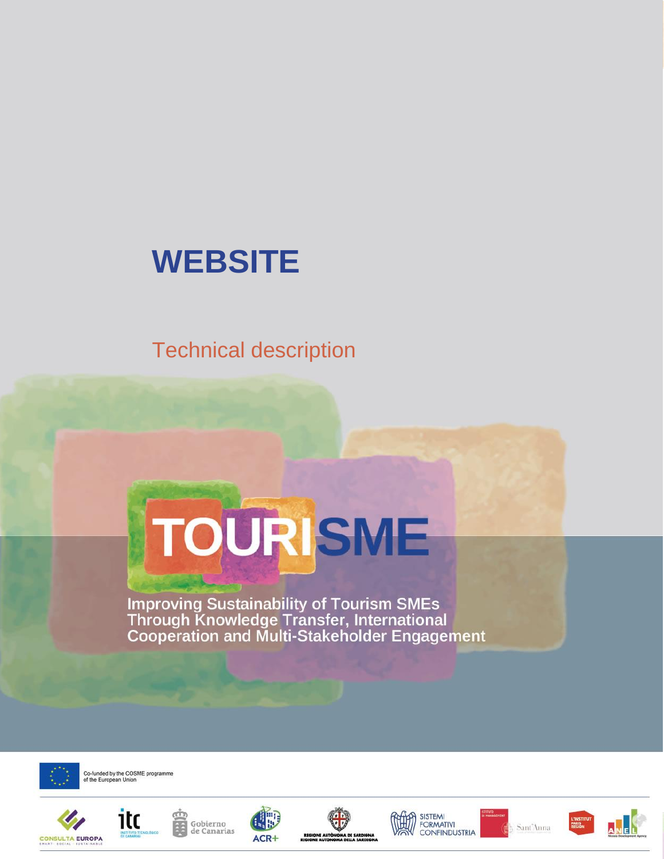## **WEBSITE**

### Technical description

# TOURISME

Improving Sustainability of Tourism SMEs<br>Through Knowledge Transfer, International<br>Cooperation and Multi-Stakeholder Engagement



Co-funded by the COSME programme<br>of the European Union















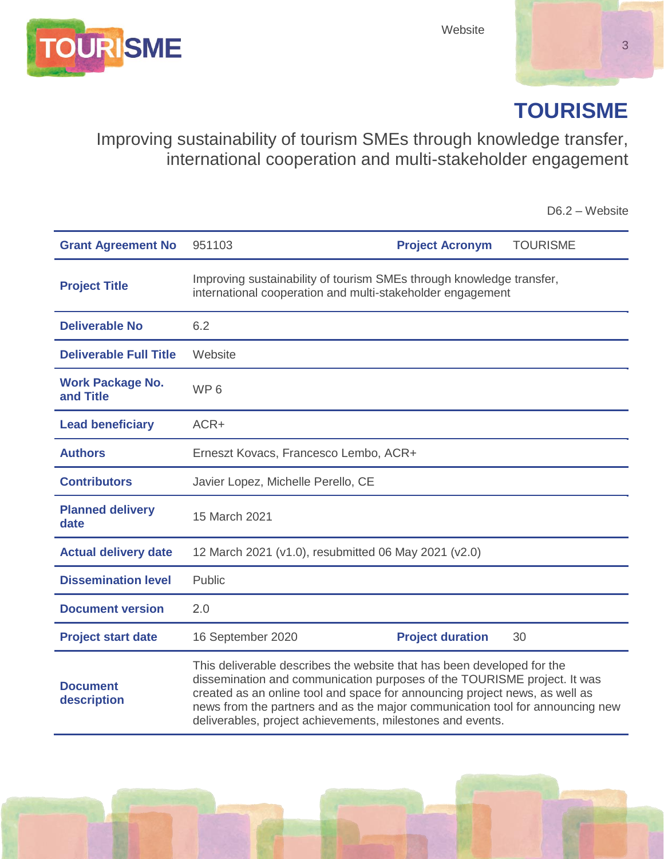

#### **TOURISME**

#### Improving sustainability of tourism SMEs through knowledge transfer, international cooperation and multi-stakeholder engagement

D6.2 – Website

| <b>Grant Agreement No</b>            | 951103                                                                                                                                                                                                                                                                                                                                                                           | <b>Project Acronym</b>  | <b>TOURISME</b> |
|--------------------------------------|----------------------------------------------------------------------------------------------------------------------------------------------------------------------------------------------------------------------------------------------------------------------------------------------------------------------------------------------------------------------------------|-------------------------|-----------------|
| <b>Project Title</b>                 | Improving sustainability of tourism SMEs through knowledge transfer,<br>international cooperation and multi-stakeholder engagement                                                                                                                                                                                                                                               |                         |                 |
| <b>Deliverable No</b>                | 6.2                                                                                                                                                                                                                                                                                                                                                                              |                         |                 |
| <b>Deliverable Full Title</b>        | Website                                                                                                                                                                                                                                                                                                                                                                          |                         |                 |
| <b>Work Package No.</b><br>and Title | WP <sub>6</sub>                                                                                                                                                                                                                                                                                                                                                                  |                         |                 |
| <b>Lead beneficiary</b>              | ACR+                                                                                                                                                                                                                                                                                                                                                                             |                         |                 |
| <b>Authors</b>                       | Erneszt Kovacs, Francesco Lembo, ACR+                                                                                                                                                                                                                                                                                                                                            |                         |                 |
| <b>Contributors</b>                  | Javier Lopez, Michelle Perello, CE                                                                                                                                                                                                                                                                                                                                               |                         |                 |
| <b>Planned delivery</b><br>date      | 15 March 2021                                                                                                                                                                                                                                                                                                                                                                    |                         |                 |
| <b>Actual delivery date</b>          | 12 March 2021 (v1.0), resubmitted 06 May 2021 (v2.0)                                                                                                                                                                                                                                                                                                                             |                         |                 |
| <b>Dissemination level</b>           | Public                                                                                                                                                                                                                                                                                                                                                                           |                         |                 |
| <b>Document version</b>              | 2.0                                                                                                                                                                                                                                                                                                                                                                              |                         |                 |
| <b>Project start date</b>            | 16 September 2020                                                                                                                                                                                                                                                                                                                                                                | <b>Project duration</b> | 30              |
| <b>Document</b><br>description       | This deliverable describes the website that has been developed for the<br>dissemination and communication purposes of the TOURISME project. It was<br>created as an online tool and space for announcing project news, as well as<br>news from the partners and as the major communication tool for announcing new<br>deliverables, project achievements, milestones and events. |                         |                 |

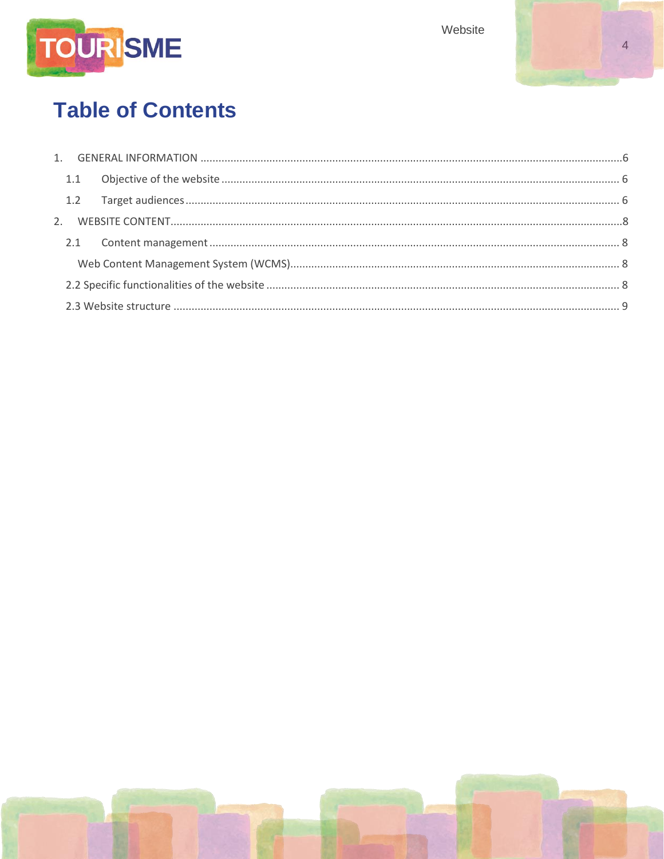

## 4

## **Table of Contents**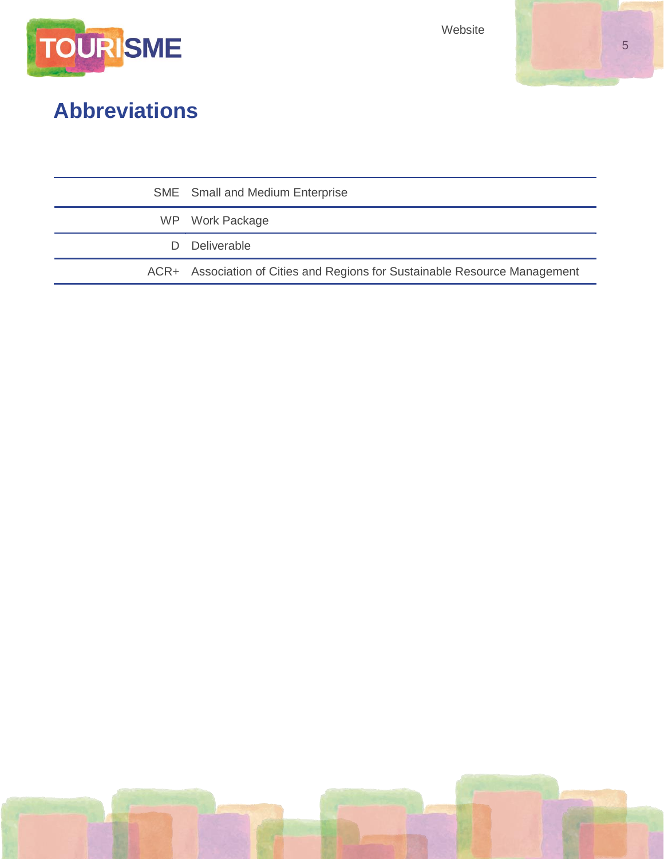



## **Abbreviations**

|    | <b>SME</b> Small and Medium Enterprise                                     |  |
|----|----------------------------------------------------------------------------|--|
|    | WP Work Package                                                            |  |
| D. | Deliverable                                                                |  |
|    | ACR+ Association of Cities and Regions for Sustainable Resource Management |  |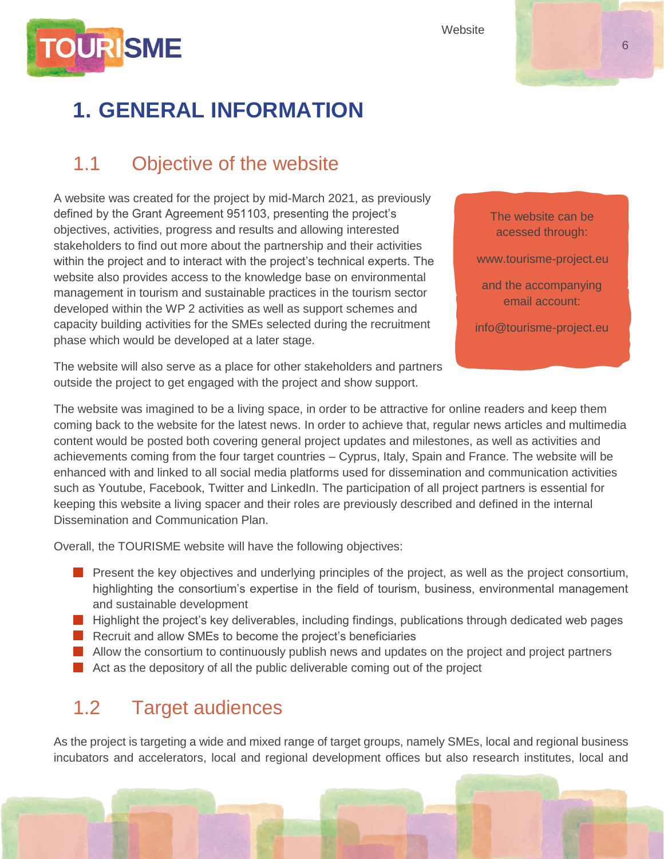

## <span id="page-5-0"></span>**1. GENERAL INFORMATION**

#### <span id="page-5-1"></span>1.1 Objective of the website

A website was created for the project by mid-March 2021, as previously defined by the Grant Agreement 951103, presenting the project's objectives, activities, progress and results and allowing interested stakeholders to find out more about the partnership and their activities within the project and to interact with the project's technical experts. The website also provides access to the knowledge base on environmental management in tourism and sustainable practices in the tourism sector developed within the WP 2 activities as well as support schemes and capacity building activities for the SMEs selected during the recruitment phase which would be developed at a later stage.

The website will also serve as a place for other stakeholders and partners outside the project to get engaged with the project and show support.

The website was imagined to be a living space, in order to be attractive for online readers and keep them coming back to the website for the latest news. In order to achieve that, regular news articles and multimedia content would be posted both covering general project updates and milestones, as well as activities and achievements coming from the four target countries – Cyprus, Italy, Spain and France. The website will be enhanced with and linked to all social media platforms used for dissemination and communication activities such as Youtube, Facebook, Twitter and LinkedIn. The participation of all project partners is essential for keeping this website a living spacer and their roles are previously described and defined in the internal

Dissemination and Communication Plan.

Overall, the TOURISME website will have the following objectives:

- **Present the key objectives and underlying principles of the project, as well as the project consortium,** highlighting the consortium's expertise in the field of tourism, business, environmental management and sustainable development
- **Highlight the project's key deliverables, including findings, publications through dedicated web pages**
- Recruit and allow SMEs to become the project's beneficiaries
- **Allow the consortium to continuously publish news and updates on the project and project partners**
- Act as the depository of all the public deliverable coming out of the project

#### <span id="page-5-2"></span>1.2 Target audiences

As the project is targeting a wide and mixed range of target groups, namely SMEs, local and regional business incubators and accelerators, local and regional development offices but also research institutes, local and

The website can be acessed through:

[www.tourisme-project.eu](https://tourisme-project.eu/)

and the accompanying email account:

info@tourisme-project.eu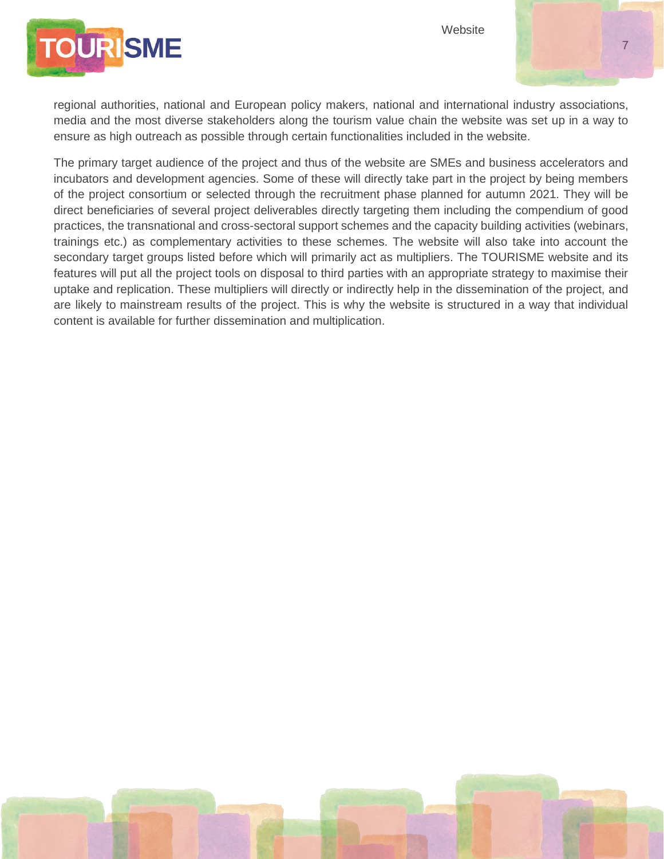

regional authorities, national and European policy makers, national and international industry associations, media and the most diverse stakeholders along the tourism value chain the website was set up in a way to ensure as high outreach as possible through certain functionalities included in the website.

The primary target audience of the project and thus of the website are SMEs and business accelerators and incubators and development agencies. Some of these will directly take part in the project by being members of the project consortium or selected through the recruitment phase planned for autumn 2021. They will be direct beneficiaries of several project deliverables directly targeting them including the compendium of good practices, the transnational and cross-sectoral support schemes and the capacity building activities (webinars, trainings etc.) as complementary activities to these schemes. The website will also take into account the secondary target groups listed before which will primarily act as multipliers. The TOURISME website and its features will put all the project tools on disposal to third parties with an appropriate strategy to maximise their uptake and replication. These multipliers will directly or indirectly help in the dissemination of the project, and are likely to mainstream results of the project. This is why the website is structured in a way that individual content is available for further dissemination and multiplication.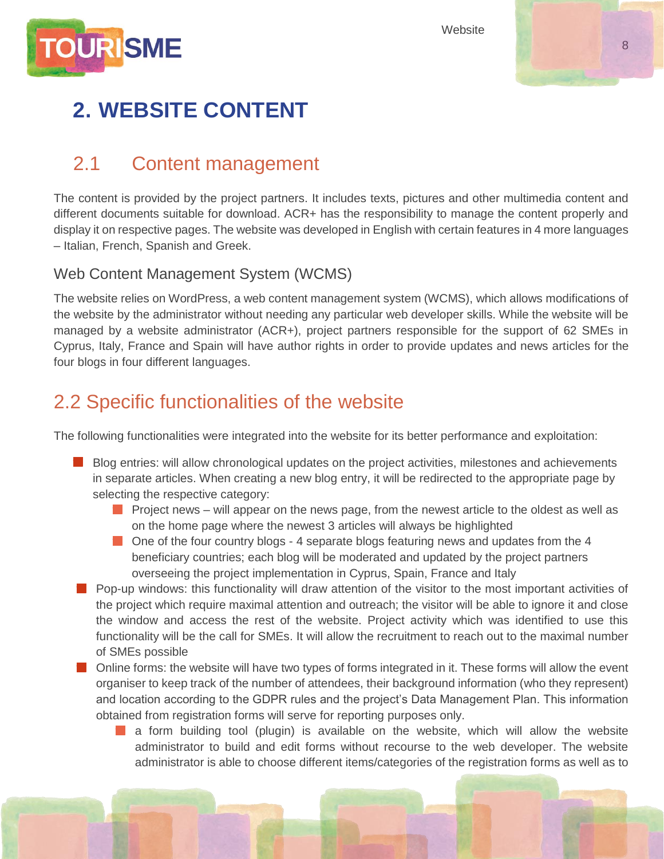**Website** 



## <span id="page-7-0"></span>**2. WEBSITE CONTENT**

#### <span id="page-7-1"></span>2.1 Content management

The content is provided by the project partners. It includes texts, pictures and other multimedia content and different documents suitable for download. ACR+ has the responsibility to manage the content properly and display it on respective pages. The website was developed in English with certain features in 4 more languages – Italian, French, Spanish and Greek.

#### <span id="page-7-2"></span>Web Content Management System (WCMS)

The website relies on WordPress, a web content management system (WCMS), which allows modifications of the website by the administrator without needing any particular web developer skills. While the website will be managed by a website administrator (ACR+), project partners responsible for the support of 62 SMEs in Cyprus, Italy, France and Spain will have author rights in order to provide updates and news articles for the four blogs in four different languages.

#### <span id="page-7-3"></span>2.2 Specific functionalities of the website

The following functionalities were integrated into the website for its better performance and exploitation:

- **Blog entries: will allow chronological updates on the project activities, milestones and achievements** in separate articles. When creating a new blog entry, it will be redirected to the appropriate page by selecting the respective category:
	- **Project news will appear on the news page, from the newest article to the oldest as well as** on the home page where the newest 3 articles will always be highlighted
	- $\Box$  One of the four country blogs 4 separate blogs featuring news and updates from the 4 beneficiary countries; each blog will be moderated and updated by the project partners overseeing the project implementation in Cyprus, Spain, France and Italy
- **Pop-up windows: this functionality will draw attention of the visitor to the most important activities of** the project which require maximal attention and outreach; the visitor will be able to ignore it and close the window and access the rest of the website. Project activity which was identified to use this functionality will be the call for SMEs. It will allow the recruitment to reach out to the maximal number of SMEs possible
- **D** Online forms: the website will have two types of forms integrated in it. These forms will allow the event organiser to keep track of the number of attendees, their background information (who they represent) and location according to the GDPR rules and the project's Data Management Plan. This information obtained from registration forms will serve for reporting purposes only.
	- a form building tool (plugin) is available on the website, which will allow the website H. administrator to build and edit forms without recourse to the web developer. The website administrator is able to choose different items/categories of the registration forms as well as to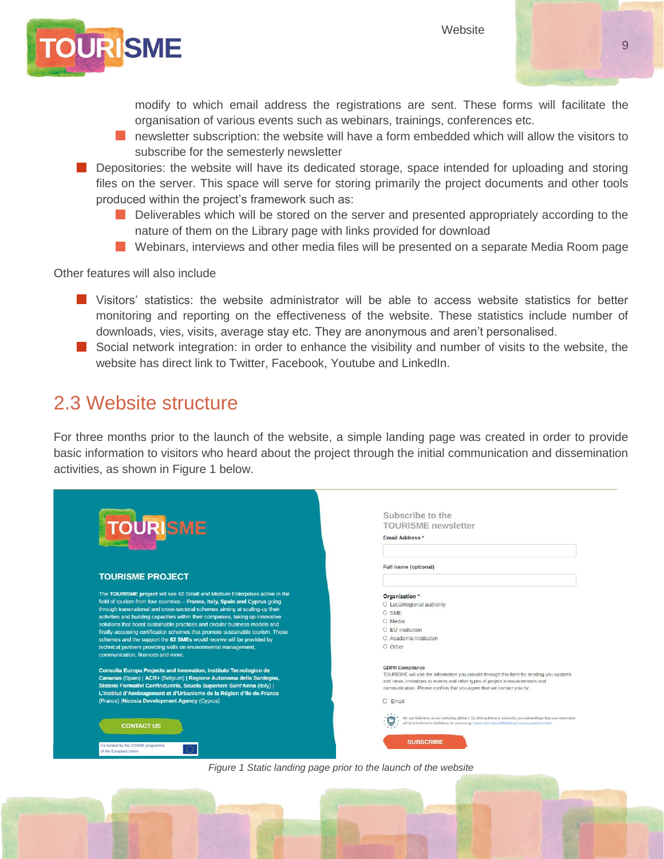



modify to which email address the registrations are sent. These forms will facilitate the organisation of various events such as webinars, trainings, conferences etc.

- **newsletter subscription: the website will have a form embedded which will allow the visitors to** subscribe for the semesterly newsletter
- **Depositories: the website will have its dedicated storage, space intended for uploading and storing** files on the server. This space will serve for storing primarily the project documents and other tools produced within the project's framework such as:
	- Deliverables which will be stored on the server and presented appropriately according to the nature of them on the Library page with links provided for download
	- **N** Webinars, interviews and other media files will be presented on a separate Media Room page

Other features will also include

- **Notaila** Visitors' statistics: the website administrator will be able to access website statistics for better monitoring and reporting on the effectiveness of the website. These statistics include number of downloads, vies, visits, average stay etc. They are anonymous and aren't personalised.
- **Social network integration: in order to enhance the visibility and number of visits to the website, the** website has direct link to Twitter, Facebook, Youtube and LinkedIn.

#### <span id="page-8-0"></span>2.3 Website structure

For three months prior to the launch of the website, a simple landing page was created in order to provide basic information to visitors who heard about the project through the initial communication and dissemination activities, as shown in Figure 1 below.

| <b>TOURISME</b>                                                                                                                                                                                                                                                                                                                                                                                                                                                                                                                                                                                                                                                                   | Subscribe to the<br><b>TOURISME</b> newsletter<br>Email Address *                                                                                                                                                                                                                    |
|-----------------------------------------------------------------------------------------------------------------------------------------------------------------------------------------------------------------------------------------------------------------------------------------------------------------------------------------------------------------------------------------------------------------------------------------------------------------------------------------------------------------------------------------------------------------------------------------------------------------------------------------------------------------------------------|--------------------------------------------------------------------------------------------------------------------------------------------------------------------------------------------------------------------------------------------------------------------------------------|
| <b>TOURISME PROJECT</b>                                                                                                                                                                                                                                                                                                                                                                                                                                                                                                                                                                                                                                                           | <b>Full name (optional)</b>                                                                                                                                                                                                                                                          |
| The TOURISME project will see 62 Small and Medium Enterprises active in the<br>field of tourism from four countries - France, Italy, Spain and Cyprus going<br>through transnational and cross-sectoral schemes aiming at scaling-up their<br>activities and building capacities within their companies, taking up innovative<br>solutions that boost sustainable practices and circular business models and<br>finally accessing certification schemes that promote sustainable tourism. These<br>schemes and the support the 62 SMEs would receive will be provided by<br>technical partners providing skills on environmental management,<br>communication, finances and more. | Organization *<br>O Local/regional authority<br>O SME<br>O Media<br>O EU institution<br>O Academic institution<br>O Other                                                                                                                                                            |
| Consulta Europa Projects and Innovation, Instituto Tecnologico de<br>Canarias (Spain)   ACR+ (Belgium)   Regione Autonoma della Sardegna,<br>Sistemi Formativi Confindustria, Scuola Superiore Sant'Anna (Italy)  <br>L'Institut d'Aménagement et d'Urbanisme de la Région d'Ile-de-France<br>(France)  Nicosia Development Agency (Cyprus)                                                                                                                                                                                                                                                                                                                                       | <b>GDPR</b> Compliance<br>TOURISME will use the information you provide thorugh this form for sending you updates<br>and news, invitations to events and other types of project announcements and<br>communication. Please confirm that you agree that we contact you by:<br>O Email |
| <b>CONTACT US</b><br>Co-funded by the COSME programme<br>of the European Union                                                                                                                                                                                                                                                                                                                                                                                                                                                                                                                                                                                                    | We use Mallchimp as our marketing platform. By dicking below to subscribe, you acknowledge that your information<br>will be transferred to Maichimp for processing. Learn more about Mailchimp's privacy practices here.<br><b>SUBSCRIBE</b>                                         |

*Figure 1 Static landing page prior to the launch of the website*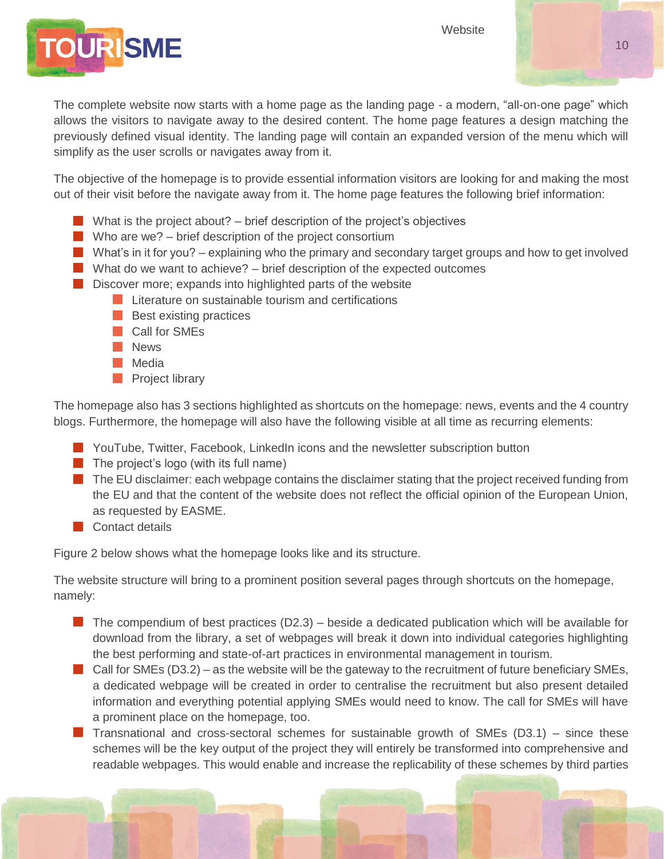**TOURISME** 

The complete website now starts with a home page as the landing page - a modern, "all-on-one page" which allows the visitors to navigate away to the desired content. The home page features a design matching the previously defined visual identity. The landing page will contain an expanded version of the menu which will simplify as the user scrolls or navigates away from it.

The objective of the homepage is to provide essential information visitors are looking for and making the most out of their visit before the navigate away from it. The home page features the following brief information:

- What is the project about?  $-$  brief description of the project's objectives
- Who are we?  $-$  brief description of the project consortium
- What's in it for you? explaining who the primary and secondary target groups and how to get involved
- What do we want to achieve?  $-$  brief description of the expected outcomes
- $\blacksquare$  Discover more; expands into highlighted parts of the website
	- **Literature on sustainable tourism and certifications**
	- **Best existing practices**
	- **Call for SMEs**
	- **News**
	- **Nedia**
	- **Project library**

The homepage also has 3 sections highlighted as shortcuts on the homepage: news, events and the 4 country blogs. Furthermore, the homepage will also have the following visible at all time as recurring elements:

- **N** YouTube, Twitter, Facebook, LinkedIn icons and the newsletter subscription button
- $\blacksquare$  The project's logo (with its full name)
- **The EU disclaimer: each webpage contains the disclaimer stating that the project received funding from** the EU and that the content of the website does not reflect the official opinion of the European Union, as requested by EASME.
- **Contact details**

Figure 2 below shows what the homepage looks like and its structure.

The website structure will bring to a prominent position several pages through shortcuts on the homepage, namely:

- $\blacksquare$  The compendium of best practices (D2.3) beside a dedicated publication which will be available for download from the library, a set of webpages will break it down into individual categories highlighting the best performing and state-of-art practices in environmental management in tourism.
- Call for SMEs  $(D3.2)$  as the website will be the gateway to the recruitment of future beneficiary SMEs, a dedicated webpage will be created in order to centralise the recruitment but also present detailed information and everything potential applying SMEs would need to know. The call for SMEs will have a prominent place on the homepage, too.
- **Transnational and cross-sectoral schemes for sustainable growth of SMEs (D3.1)** since these schemes will be the key output of the project they will entirely be transformed into comprehensive and readable webpages. This would enable and increase the replicability of these schemes by third parties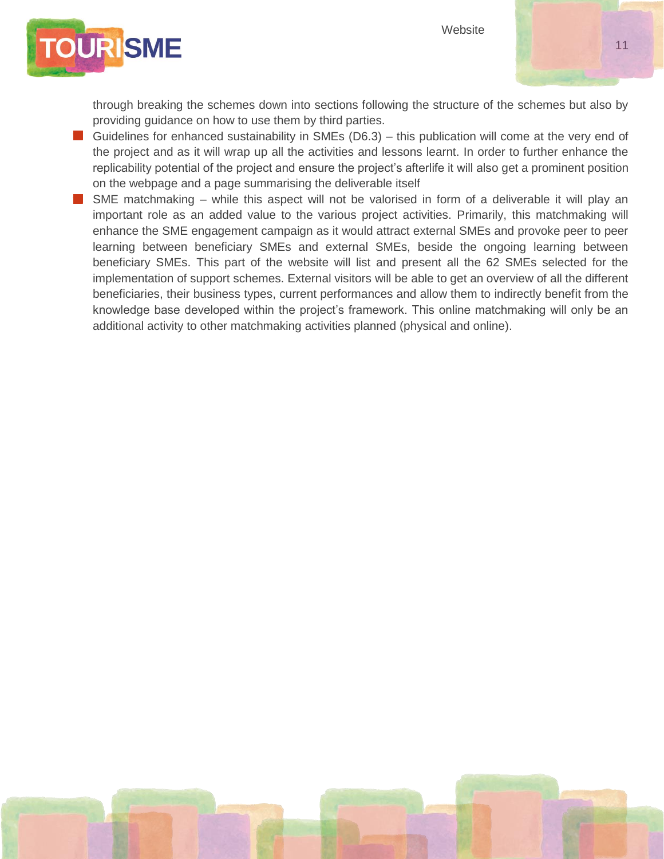**Website** 



through breaking the schemes down into sections following the structure of the schemes but also by providing guidance on how to use them by third parties.

- Guidelines for enhanced sustainability in SMEs ( $D6.3$ ) this publication will come at the very end of the project and as it will wrap up all the activities and lessons learnt. In order to further enhance the replicability potential of the project and ensure the project's afterlife it will also get a prominent position on the webpage and a page summarising the deliverable itself
- $\blacksquare$  SME matchmaking while this aspect will not be valorised in form of a deliverable it will play an important role as an added value to the various project activities. Primarily, this matchmaking will enhance the SME engagement campaign as it would attract external SMEs and provoke peer to peer learning between beneficiary SMEs and external SMEs, beside the ongoing learning between beneficiary SMEs. This part of the website will list and present all the 62 SMEs selected for the implementation of support schemes. External visitors will be able to get an overview of all the different beneficiaries, their business types, current performances and allow them to indirectly benefit from the knowledge base developed within the project's framework. This online matchmaking will only be an additional activity to other matchmaking activities planned (physical and online).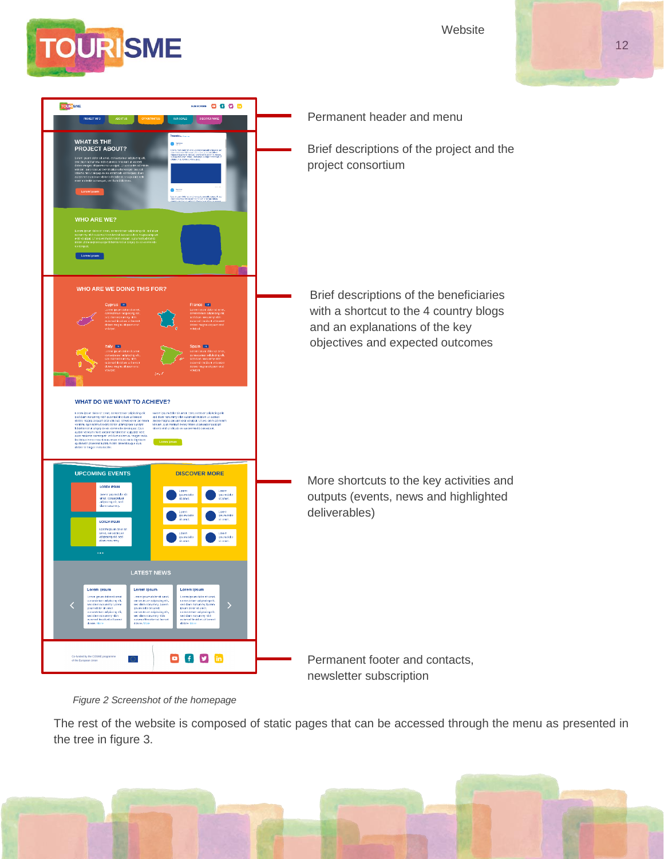

**Website** 



TOURISME SCREE **O G C G** Permanent header and menu WHAT IS THE<br>PROJECT ABOUT? Brief descriptions of the project and the Leven (cours dialor de arriv), cassivalent no adiplocâtig el 1 anoi<br>Dans rent comp el Meloscario II el 1 3 anoi se del Obloco<br>magna a ligave non autoria (al militarrim al 1993 e ventor)<br>si le normal event refon i formogres project consortium .<br>Veraculates oda zveg a filova<br>Stirodiam interventidam WHO ARE WE? WHO ARE WE DOING THIS FOR? Brief descriptions of the beneficiaries with a shortcut to the 4 country blogs and an explanations of the key objectives and expected outcomes WHAT DO WE WANT TO ACHIEVE? **DISCOVER MORE UPCOMING EVENTS** More shortcuts to the key activities and outputs (events, news and highlighted deliverables)  $O$   $f$   $9$   $m$ Co-fun<br>of the E Permanent footer and contacts, newsletter subscription

 *Figure 2 Screenshot of the homepage*

The rest of the website is composed of static pages that can be accessed through the menu as presented in the tree in figure 3.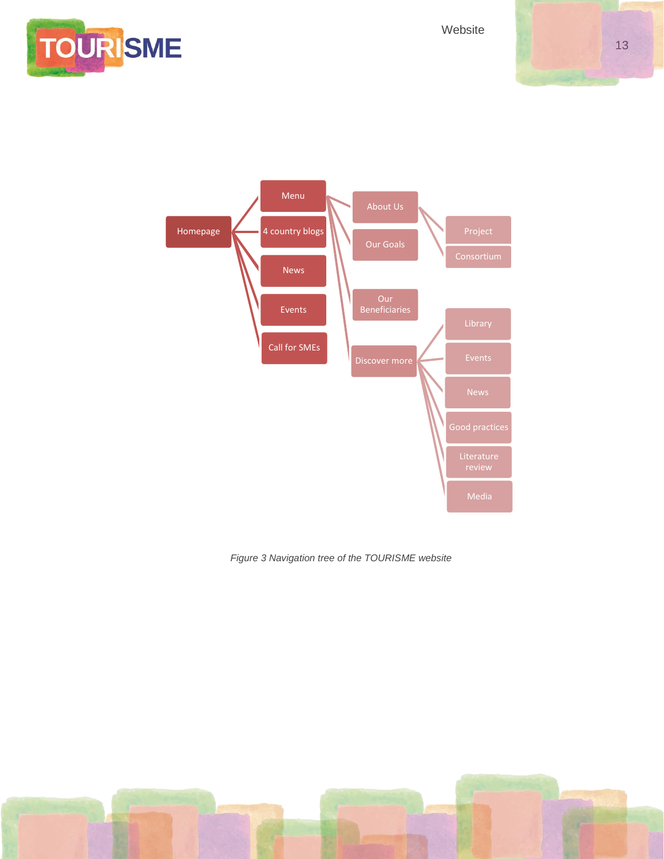13





#### *Figure 3 Navigation tree of the TOURISME website*